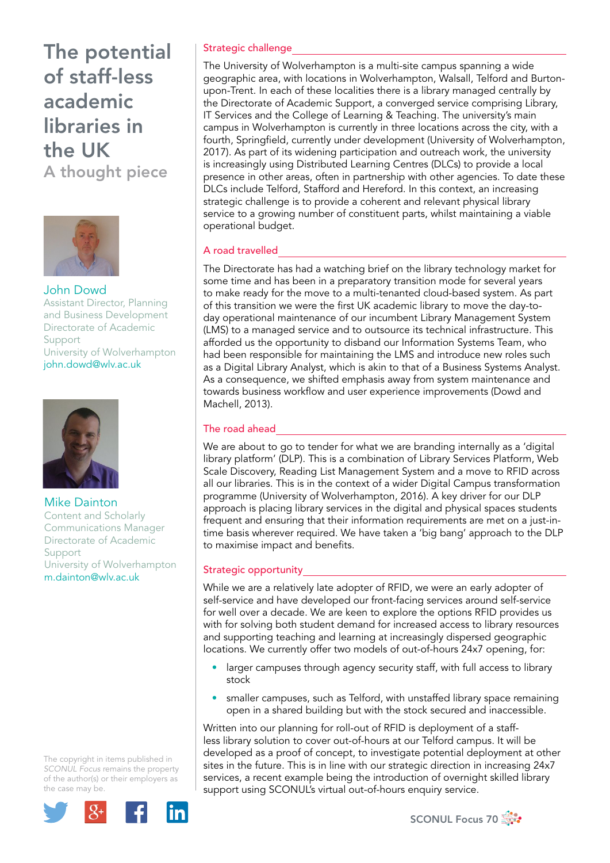

John Dowd Assistant Director, Planning and Business Development Directorate of Academic Support University of Wolverhampton john.dowd@wlv.ac.uk



Mike Dainton Content and Scholarly Communications Manager Directorate of Academic Support University of Wolverhampton m.dainton@wlv.ac.uk

The copyright in items published in *SCONUL Focus* remains the property of the author(s) or their employers as the case may be.



### Strategic challenge

The University of Wolverhampton is a multi-site campus spanning a wide geographic area, with locations in Wolverhampton, Walsall, Telford and Burtonupon-Trent. In each of these localities there is a library managed centrally by the Directorate of Academic Support, a converged service comprising Library, IT Services and the College of Learning & Teaching. The university's main campus in Wolverhampton is currently in three locations across the city, with a fourth, Springfield, currently under development (University of Wolverhampton, 2017). As part of its widening participation and outreach work, the university is increasingly using Distributed Learning Centres (DLCs) to provide a local presence in other areas, often in partnership with other agencies. To date these DLCs include Telford, Stafford and Hereford. In this context, an increasing strategic challenge is to provide a coherent and relevant physical library service to a growing number of constituent parts, whilst maintaining a viable operational budget.

### A road travelled

The Directorate has had a watching brief on the library technology market for some time and has been in a preparatory transition mode for several years to make ready for the move to a multi-tenanted cloud-based system. As part of this transition we were the first UK academic library to move the day-today operational maintenance of our incumbent Library Management System (LMS) to a managed service and to outsource its technical infrastructure. This afforded us the opportunity to disband our Information Systems Team, who had been responsible for maintaining the LMS and introduce new roles such as a Digital Library Analyst, which is akin to that of a Business Systems Analyst. As a consequence, we shifted emphasis away from system maintenance and towards business workflow and user experience improvements (Dowd and Machell, 2013).

## The road ahead

We are about to go to tender for what we are branding internally as a 'digital library platform' (DLP). This is a combination of Library Services Platform, Web Scale Discovery, Reading List Management System and a move to RFID across all our libraries. This is in the context of a wider Digital Campus transformation programme (University of Wolverhampton, 2016). A key driver for our DLP approach is placing library services in the digital and physical spaces students frequent and ensuring that their information requirements are met on a just-intime basis wherever required. We have taken a 'big bang' approach to the DLP to maximise impact and benefits.

#### Strategic opportunity

While we are a relatively late adopter of RFID, we were an early adopter of self-service and have developed our front-facing services around self-service for well over a decade. We are keen to explore the options RFID provides us with for solving both student demand for increased access to library resources and supporting teaching and learning at increasingly dispersed geographic locations. We currently offer two models of out-of-hours 24x7 opening, for:

- larger campuses through agency security staff, with full access to library stock
- smaller campuses, such as Telford, with unstaffed library space remaining open in a shared building but with the stock secured and inaccessible.

Written into our planning for roll-out of RFID is deployment of a staffless library solution to cover out-of-hours at our Telford campus. It will be developed as a proof of concept, to investigate potential deployment at other sites in the future. This is in line with our strategic direction in increasing 24x7 services, a recent example being the introduction of overnight skilled library support using SCONUL's virtual out-of-hours enquiry service.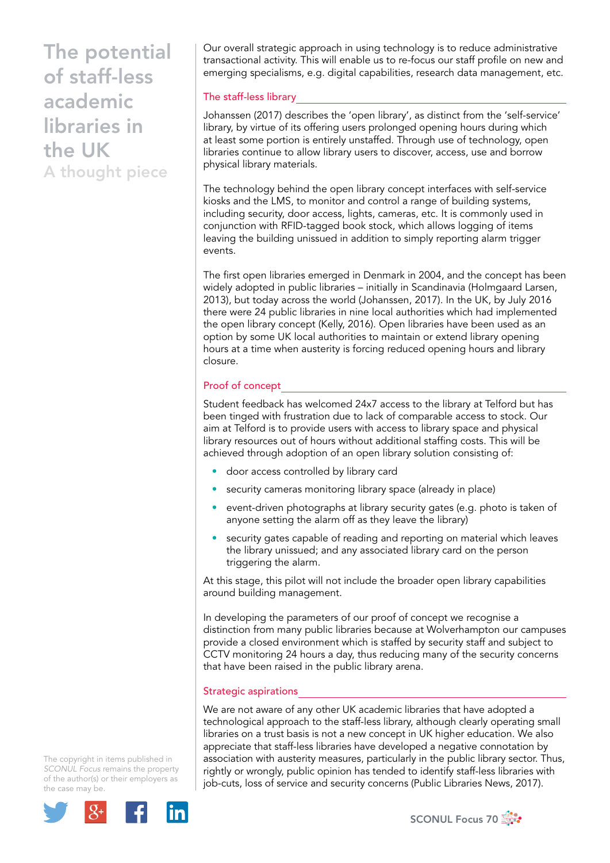Our overall strategic approach in using technology is to reduce administrative transactional activity. This will enable us to re-focus our staff profile on new and emerging specialisms, e.g. digital capabilities, research data management, etc.

### The staff-less library

Johanssen (2017) describes the 'open library', as distinct from the 'self-service' library, by virtue of its offering users prolonged opening hours during which at least some portion is entirely unstaffed. Through use of technology, open libraries continue to allow library users to discover, access, use and borrow physical library materials.

The technology behind the open library concept interfaces with self-service kiosks and the LMS, to monitor and control a range of building systems, including security, door access, lights, cameras, etc. It is commonly used in conjunction with RFID-tagged book stock, which allows logging of items leaving the building unissued in addition to simply reporting alarm trigger events.

The first open libraries emerged in Denmark in 2004, and the concept has been widely adopted in public libraries – initially in Scandinavia (Holmgaard Larsen, 2013), but today across the world (Johanssen, 2017). In the UK, by July 2016 there were 24 public libraries in nine local authorities which had implemented the open library concept (Kelly, 2016). Open libraries have been used as an option by some UK local authorities to maintain or extend library opening hours at a time when austerity is forcing reduced opening hours and library closure.

## Proof of concept

Student feedback has welcomed 24x7 access to the library at Telford but has been tinged with frustration due to lack of comparable access to stock. Our aim at Telford is to provide users with access to library space and physical library resources out of hours without additional staffing costs. This will be achieved through adoption of an open library solution consisting of:

- door access controlled by library card
- security cameras monitoring library space (already in place)
- event-driven photographs at library security gates (e.g. photo is taken of anyone setting the alarm off as they leave the library)
- security gates capable of reading and reporting on material which leaves the library unissued; and any associated library card on the person triggering the alarm.

At this stage, this pilot will not include the broader open library capabilities around building management.

In developing the parameters of our proof of concept we recognise a distinction from many public libraries because at Wolverhampton our campuses provide a closed environment which is staffed by security staff and subject to CCTV monitoring 24 hours a day, thus reducing many of the security concerns that have been raised in the public library arena.

#### Strategic aspirations

We are not aware of any other UK academic libraries that have adopted a technological approach to the staff-less library, although clearly operating small libraries on a trust basis is not a new concept in UK higher education. We also appreciate that staff-less libraries have developed a negative connotation by association with austerity measures, particularly in the public library sector. Thus, rightly or wrongly, public opinion has tended to identify staff-less libraries with job-cuts, loss of service and security concerns (Public Libraries News, 2017).

The copyright in items published in *SCONUL Focus* remains the property of the author(s) or their employers as the case may be.



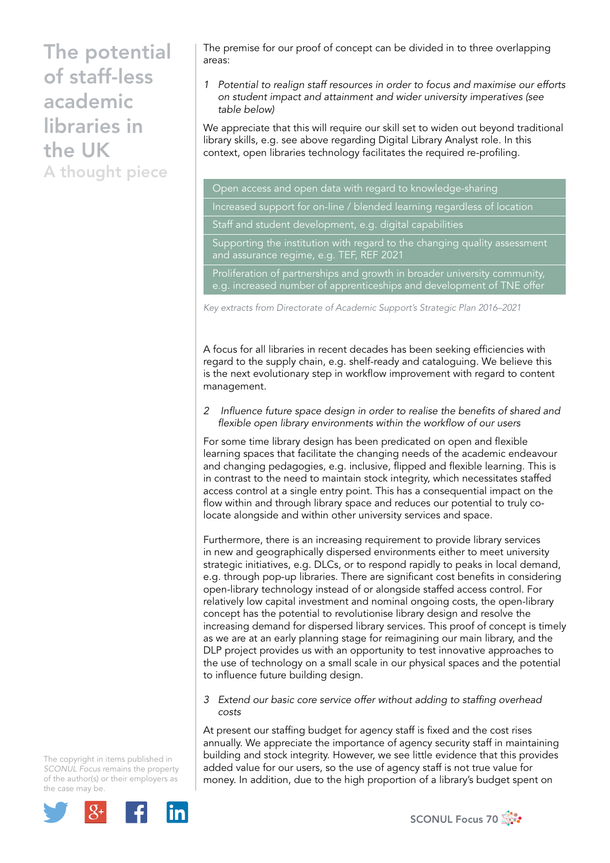The premise for our proof of concept can be divided in to three overlapping areas:

*1 Potential to realign staff resources in order to focus and maximise our efforts on student impact and attainment and wider university imperatives (see table below)*

We appreciate that this will require our skill set to widen out beyond traditional library skills, e.g. see above regarding Digital Library Analyst role. In this context, open libraries technology facilitates the required re-profiling.

Open access and open data with regard to knowledge-sharing

Increased support for on-line / blended learning regardless of location

Staff and student development, e.g. digital capabilities

Supporting the institution with regard to the changing quality assessment and assurance regime, e.g. TEF, REF 2021

Proliferation of partnerships and growth in broader university community, e.g. increased number of apprenticeships and development of TNE offer

*Key extracts from Directorate of Academic Support's Strategic Plan 2016–2021*

A focus for all libraries in recent decades has been seeking efficiencies with regard to the supply chain, e.g. shelf-ready and cataloguing. We believe this is the next evolutionary step in workflow improvement with regard to content management.

*2 Influence future space design in order to realise the benefits of shared and flexible open library environments within the workflow of our users*

For some time library design has been predicated on open and flexible learning spaces that facilitate the changing needs of the academic endeavour and changing pedagogies, e.g. inclusive, flipped and flexible learning. This is in contrast to the need to maintain stock integrity, which necessitates staffed access control at a single entry point. This has a consequential impact on the flow within and through library space and reduces our potential to truly colocate alongside and within other university services and space.

Furthermore, there is an increasing requirement to provide library services in new and geographically dispersed environments either to meet university strategic initiatives, e.g. DLCs, or to respond rapidly to peaks in local demand, e.g. through pop-up libraries. There are significant cost benefits in considering open-library technology instead of or alongside staffed access control. For relatively low capital investment and nominal ongoing costs, the open-library concept has the potential to revolutionise library design and resolve the increasing demand for dispersed library services. This proof of concept is timely as we are at an early planning stage for reimagining our main library, and the DLP project provides us with an opportunity to test innovative approaches to the use of technology on a small scale in our physical spaces and the potential to influence future building design.

*3 Extend our basic core service offer without adding to staffing overhead costs*

At present our staffing budget for agency staff is fixed and the cost rises annually. We appreciate the importance of agency security staff in maintaining building and stock integrity. However, we see little evidence that this provides added value for our users, so the use of agency staff is not true value for money. In addition, due to the high proportion of a library's budget spent on

The copyright in items published in *SCONUL Focus* remains the property of the author(s) or their employers as the case may be.